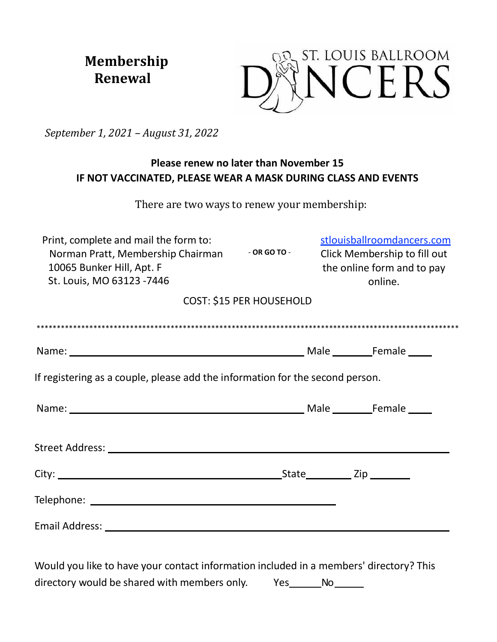**Membership** Renewal



September 1, 2021 - August 31, 2022

# Please renew no later than November 15 IF NOT VACCINATED, PLEASE WEAR A MASK DURING CLASS AND EVENTS

There are two ways to renew your membership:

| Print, complete and mail the form to:<br>Norman Pratt, Membership Chairman<br>10065 Bunker Hill, Apt. F<br>St. Louis, MO 63123 -7446                                                                                          | $-$ OR GO TO $-$                | stlouisballroomdancers.com<br>Click Membership to fill out<br>the online form and to pay<br>online. |  |  |
|-------------------------------------------------------------------------------------------------------------------------------------------------------------------------------------------------------------------------------|---------------------------------|-----------------------------------------------------------------------------------------------------|--|--|
|                                                                                                                                                                                                                               | <b>COST: \$15 PER HOUSEHOLD</b> |                                                                                                     |  |  |
|                                                                                                                                                                                                                               |                                 |                                                                                                     |  |  |
| Name: Name: Name: Name: Name: Name: Name: Name: Name: Name: Name: Name: Name: Name: Name: Name: Name: Name: Name: Name: Name: Name: Name: Name: Name: Name: Name: Name: Name: Name: Name: Name: Name: Name: Name: Name: Name: |                                 |                                                                                                     |  |  |
| If registering as a couple, please add the information for the second person.                                                                                                                                                 |                                 |                                                                                                     |  |  |
| Name: Name: Name: Name: Name: Name: Name: Name: Name: Name: Name: Name: Name: Name: Name: Name: Name: Name: Name: Name: Name: Name: Name: Name: Name: Name: Name: Name: Name: Name: Name: Name: Name: Name: Name: Name: Name: |                                 |                                                                                                     |  |  |
|                                                                                                                                                                                                                               |                                 |                                                                                                     |  |  |
|                                                                                                                                                                                                                               |                                 |                                                                                                     |  |  |
|                                                                                                                                                                                                                               |                                 |                                                                                                     |  |  |
| Email Address: National Address: National Address: National Address: National Address: National Address: National Address: National Address: National Address: National Address: National Address: National Address: National |                                 |                                                                                                     |  |  |
|                                                                                                                                                                                                                               |                                 |                                                                                                     |  |  |

Would you like to have your contact information included in a members' directory? This directory would be shared with members only. Yes\_\_\_\_\_\_\_\_No\_\_\_\_\_\_\_